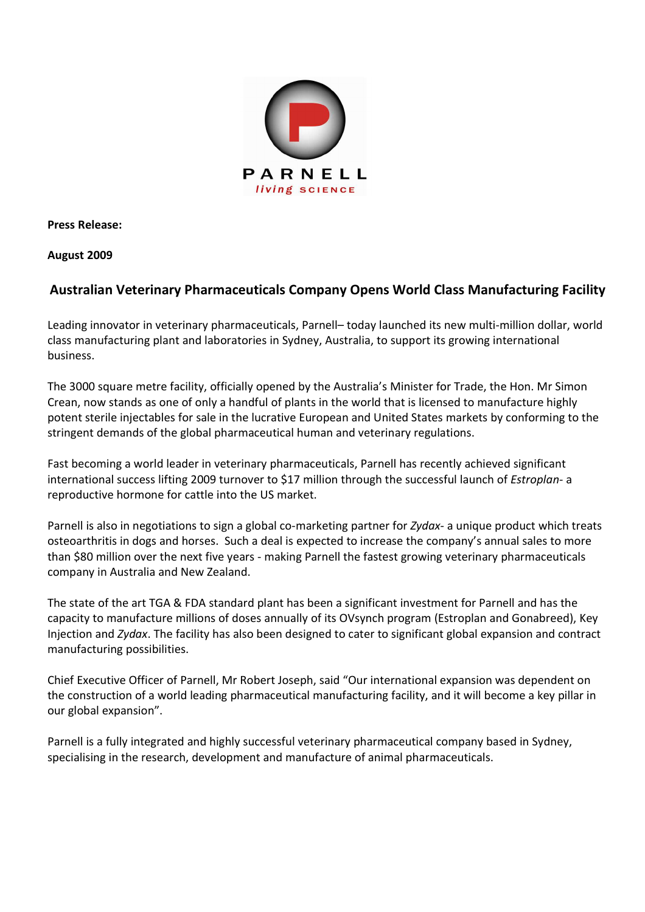

**Press Release:** 

**August 2009** 

## **Australian Veterinary Pharmaceuticals Company Opens World Class Manufacturing Facility**

Leading innovator in veterinary pharmaceuticals, Parnell– today launched its new multi-million dollar, world class manufacturing plant and laboratories in Sydney, Australia, to support its growing international business.

The 3000 square metre facility, officially opened by the Australia's Minister for Trade, the Hon. Mr Simon Crean, now stands as one of only a handful of plants in the world that is licensed to manufacture highly potent sterile injectables for sale in the lucrative European and United States markets by conforming to the stringent demands of the global pharmaceutical human and veterinary regulations.

Fast becoming a world leader in veterinary pharmaceuticals, Parnell has recently achieved significant international success lifting 2009 turnover to \$17 million through the successful launch of *Estroplan*- a reproductive hormone for cattle into the US market.

Parnell is also in negotiations to sign a global co-marketing partner for *Zydax*- a unique product which treats osteoarthritis in dogs and horses. Such a deal is expected to increase the company's annual sales to more than \$80 million over the next five years - making Parnell the fastest growing veterinary pharmaceuticals company in Australia and New Zealand.

The state of the art TGA & FDA standard plant has been a significant investment for Parnell and has the capacity to manufacture millions of doses annually of its OVsynch program (Estroplan and Gonabreed), Key Injection and *Zydax*. The facility has also been designed to cater to significant global expansion and contract manufacturing possibilities.

Chief Executive Officer of Parnell, Mr Robert Joseph, said "Our international expansion was dependent on the construction of a world leading pharmaceutical manufacturing facility, and it will become a key pillar in our global expansion".

Parnell is a fully integrated and highly successful veterinary pharmaceutical company based in Sydney, specialising in the research, development and manufacture of animal pharmaceuticals.